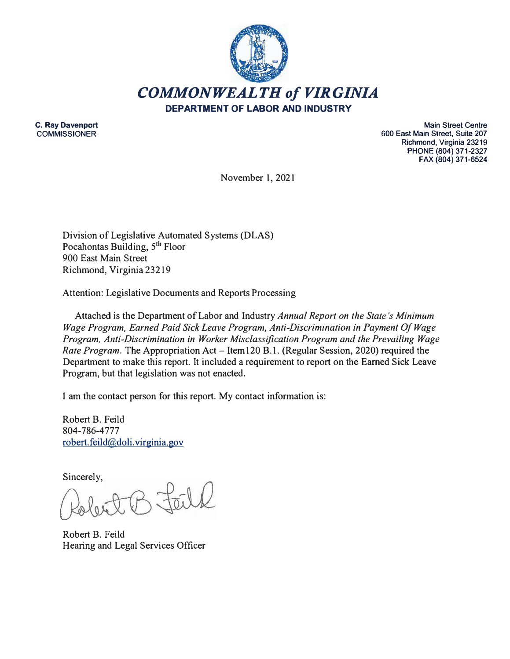

**C. Ray Davenport COMMISSIONER**

**Main Street Centre 600 East Main Street, Suite 207 Richmond, Virginia 23219 PHONE (804) 371-2327 FAX (804) 371-6524** 

November I, 202 I

Division of Legislative Automated Systems (DLAS) Pocahontas Building, **5 th** Floor 900 East Main Street Riclunond, Virginia 23219

Attention: Legislative Documents and Reports Processing

Attached is the Department of Labor and Industry *Annual Report on the State's Minimum Wage Program, Earned Paid Sick Leave Program, Anti-Discrimination in Payment Of Wage Program, Anti-Discrimination in Worker Misclassification Program and the Prevailing Wage Rate Program.* The Appropriation Act – Item 120 B.1. (Regular Session, 2020) required the Department to make this report. It included a requirement to report on the Earned Sick Leave Program, but that legislation was not enacted.

I am the contact person for this report. My contact information is:

Robert B. Feild 804-786-4777 robert.feild@doli.virginia.gov

Sincerely,

Robert B. Feild Hearing and Legal Services Officer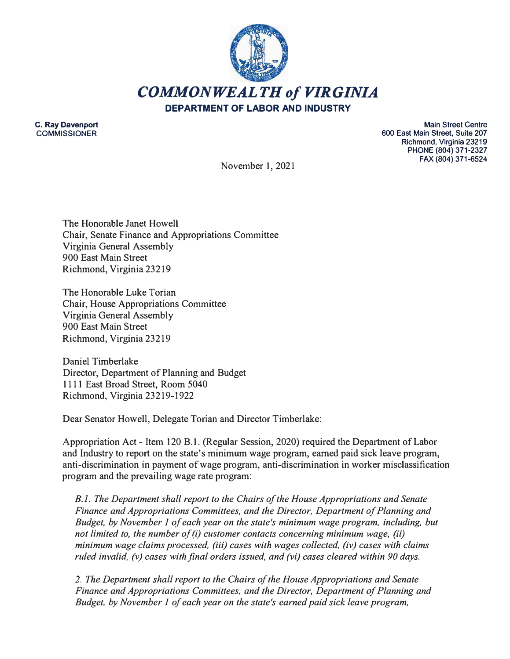

**C. Ray Davenport COMMISSIONER**

**Main Street Centre 600 East Main Street, Suite 207 Richmond, Virginia 23219 PHONE (804) 371-2327 FAX (804) 371-6524** 

November 1, 2021

The Honorable Janet Howell Chair, Senate Finance and Appropriations Committee Virginia General Assembly 900 East Main Street Richmond, Virginia 23219

The Honorable Luke Torian Chair, House Appropriations Committee Virginia General Assembly 900 East Main Street Richmond, Virginia 23219

Daniel Timberlake Director, Department of Planning and Budget 1111 East Broad Street, Room 5040 Richmond, Virginia 23219-1922

Dear Senator Howell, Delegate Torian and Director Timberlake:

Appropriation Act - Item 120 B.1. (Regular Session, 2020) required the Department of Labor and Industry to report on the state's minimum wage program, earned paid sick leave program, anti-discrimination in payment of wage program, anti-discrimination in worker misclassification program and the prevailing wage rate program:

*B.l. The Department shall report to the Chairs of the House Appropriations and Senate Finance and Appropriations Committees, and the Director, Department of Planning and Budget, by November 1 of each year on the state's minimum wage program, including, but not limited to, the number of (i) customer contacts concerning minimum wage, (ii) minimum wage claims processed, (iii) cases with wages collected, (iv) cases with claims ruled invalid. (v) cases with final orders issued, and (vi) cases cleared within 90 days.*

*2. The Department shall report to the Chairs of the House Appropriations and Senate Finance and Appropriations Committees, and the Director, Department of Planning and Budget, by November 1 of each year on the state's earned paid sick leave program,*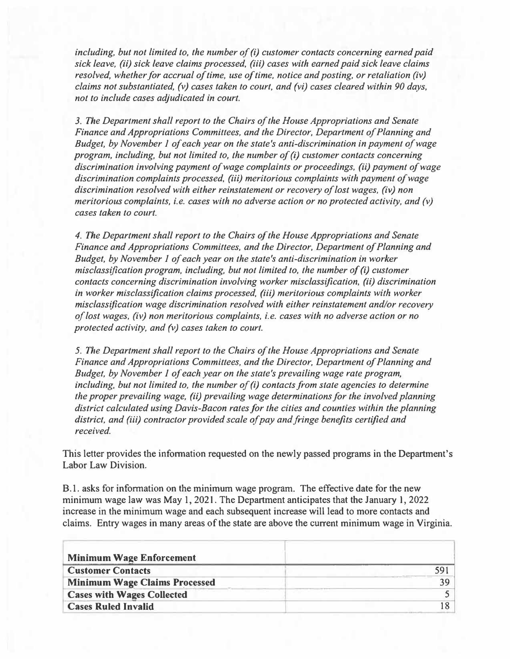*including, but not limited to, the number of (i) customer contacts concerning earned paid sick leave, (ii) sick leave claims processed, (iii) cases with earned paid sick leave claims resolved, whether for accrual of time, use of time, notice and posting, or retaliation (iv) claims not substantiated, (v) cases taken to court, and (vi) cases cleared within 90 days. not to include cases adjudicated in court.* 

*3. The Department shall report to the Chairs of the House Appropriations and Senate Finance and Appropriations Committees, and the Director, Department of Planning and Budget, by November 1 of each year on the state's anti-discrimination in payment of wage program, including, but not limited to, the number of (i) customer contacts concerning discrimination involving payment of wage complaints or proceedings, (ii) payment of wage discrimination complaints processed, (iii) meritorious complaints with payment of wage discrimination resolved with either reinstatement or recovery of lost wages, (iv) non meritorious complaints, i.e. cases with no adverse action or no protected activity, and (v) cases taken to court.*

*4. The Department shall report to the Chairs of the House Appropriations and Senate Finance and Appropriations Committees, and the Director, Department of Planning and Budget, by November 1 of each year on the state's anti-discrimination in worker misclassification program, including, but not limited to, the number of (i) customer contacts concerning discrimination involving worker misclassification, (ii) discrimination in worker misclassification claims processed, (iii) meritorious complaints with worker misclassification wage discrimination resolved with either reinstatement and/or recovery of lost wages, (iv) non meritorious complaints, i.e. cases with no adverse action or no protected activity, and (v) cases taken to court.*

*5. The Department shall report to the Chairs of the House Appropriations and Senate Finance and Appropriations Committees, and the Director, Department of Planning and Budget, by November 1 of each year on the state's prevailing wage rate program, including, but not limited to, the number of (i) contacts from state agencies to determine the proper prevailing wage, (ii) prevailing wage determinations for the involved planning district calculated using Davis-Bacon rates for the cities and counties within the planning district, and (iii) contractor provided scale of pay and fringe benefits certified and received.*

**This letter provides the information requested on the newly passed programs in the Department's Labor Law Division.** 

**8.1. asks for information on the minimum wage program. The effective date for the new minimum wage law was May 1, 2021. The Department anticipates that the January 1, 2022 increase in the minimum wage and each subsequent increase will lead to more contacts and claims. Entry wages in many areas of the state are above the current minimum wage in Virginia.** 

| <b>Minimum Wage Enforcement</b>      |      |
|--------------------------------------|------|
| <b>Customer Contacts</b>             |      |
| <b>Minimum Wage Claims Processed</b> | 30 I |
| <b>Cases with Wages Collected</b>    |      |
| <b>Cases Ruled Invalid</b>           |      |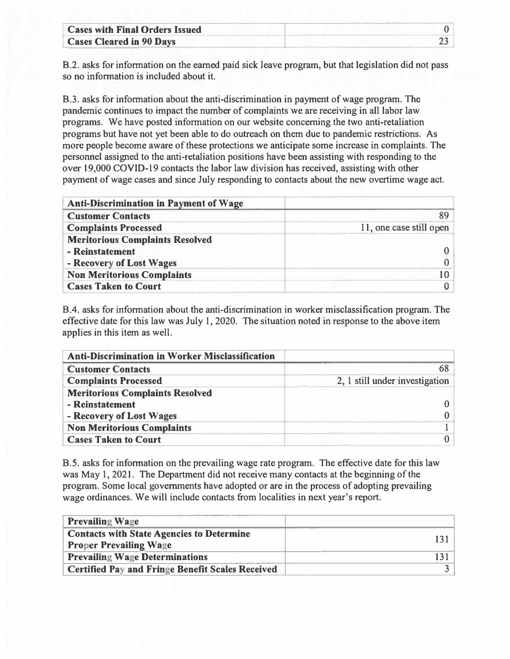| <b>Cases with Final Orders Issued</b> |  |
|---------------------------------------|--|
| <b>Cases Cleared in 90 Days</b>       |  |

8.2. asks for information on the earned paid sick leave program, but that legislation did not pass so no information is included about it.

8.3. asks for information about the anti-discrimination in payment of wage program. The pandemic continues to impact the number of complaints we are receiving in all labor law programs. We have posted information on our website concerning the two anti-retaliation programs but have not yet been able to do outreach on them due to pandemic restrictions. As more people become aware of these protections we anticipate some increase in complaints. The personnel assigned to the anti-retaliation positions have been assisting with responding to the over 19,000 COVID-19 contacts the labor law division has received, assisting with other payment of wage cases and since July responding to contacts about the new overtime wage act.

| <b>Anti-Discrimination in Payment of Wage</b> |                         |
|-----------------------------------------------|-------------------------|
| <b>Customer Contacts</b>                      | 89                      |
| <b>Complaints Processed</b>                   | 11, one case still open |
| <b>Meritorious Complaints Resolved</b>        |                         |
| - Reinstatement                               |                         |
| - Recovery of Lost Wages                      |                         |
| <b>Non Meritorious Complaints</b>             | 10                      |
| <b>Cases Taken to Court</b>                   |                         |

8.4. asks for information about the anti-discrimination in worker misclassification program. The effective date for this law was July l, 2020. The situation noted in response to the above item applies in this item as well.

| <b>Anti-Discrimination in Worker Misclassification</b> |                                |
|--------------------------------------------------------|--------------------------------|
| <b>Customer Contacts</b>                               | 68                             |
| <b>Complaints Processed</b>                            | 2, 1 still under investigation |
| <b>Meritorious Complaints Resolved</b>                 |                                |
| - Reinstatement                                        |                                |
| - Recovery of Lost Wages                               |                                |
| <b>Non Meritorious Complaints</b>                      |                                |
| <b>Cases Taken to Court</b>                            |                                |

8.5. asks for information on the prevailing wage rate program. The effective date for this law was May 1, 2021. The Department did not receive many contacts at the beginning of the program. Some local governments have adopted or are in the process of adopting prevailing wage ordinances. We will include contacts from localities in next year's report.

| <b>Prevailing Wage</b>                                  |  |
|---------------------------------------------------------|--|
| <b>Contacts with State Agencies to Determine</b>        |  |
| <b>Proper Prevailing Wage</b>                           |  |
| <b>Prevailing Wage Determinations</b>                   |  |
| <b>Certified Pay and Fringe Benefit Scales Received</b> |  |